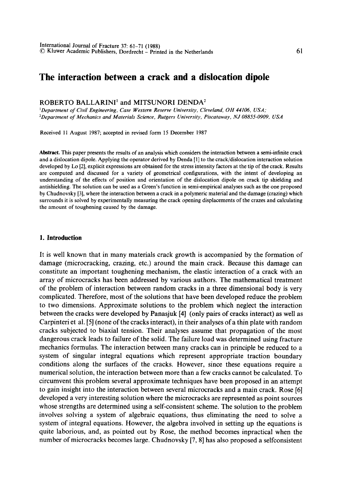# **The interaction between a crack and a dislocation dipole**

# ROBERTO BALLARINI<sup>1</sup> and MITSUNORI DENDA<sup>2</sup>

*~Department of Civil Engineering, Case Western Reserve University, Cleveland, OH 44106, USA; 2Department of Mechanics and Materials Science, Rutgers University, Piscataway, NJ 08855-0909, USA* 

Received 11 August 1987; accepted in revised form 15 December 1987

**Abstract.** This paper presents the results of an analysis which considers the interaction between a semi-infinite crack and a dislocation dipole. Applying the operator derived by Denda [1] to the crack/dislocation interaction solution developed by Lo [2], explicit expressions are obtained for the stress intensity factors at the tip of the crack. Results are computed and discussed for a variety of geometrical configurations, with the intent of developing an understanding of the effects of position and orientation of the dislocation dipole on crack tip shielding and antishielding. The solution can be used as a Green's function in semi-empirical analyses such as the one proposed by Chudnovsky [3], where the interaction between a crack in a polymeric material and the damage (crazing) which surrounds it is solved by experimentally measuring the crack opening displacements of the crazes and calculating the amount of toughening caused by the damage.

#### **I. Introduction**

It is well known that in many materials crack growth is accompanied by the formation of damage (microcracking, crazing, etc.) around the main crack. Because this damage can constitute an important toughening mechanism, the elastic interaction of a crack with an array of microcracks has been addressed by various authors. The mathematical treatment of the problem of interaction between random cracks in a three dimensional body is very complicated. Therefore, most of the solutions that have been developed reduce the problem to two dimensions. Approximate solutions to the problem which neglect the interaction between the cracks were developed by Panasjuk [4] (only pairs of cracks interact) as well as Carpinteri et al. [5] (none of the cracks interact), in their analyses of a thin plate with random cracks subjected to biaxial tension. Their analyses assume that propagation of the most dangerous crack leads to failure of the solid. The failure load was determined using fracture mechanics formulas. The interaction between many cracks can in principle be reduced to a system of singular integral equations which represent appropriate traction boundary conditions along the surfaces of the cracks. However, since these equations require a numerical solution, the interaction between more than a few cracks cannot be calculated. To circumvent this problem several approximate techniques have been proposed in an attempt to gain insight into the interaction between several microcracks and a main crack. Rose [6] developed a very interesting solution where the microcracks are represented as point sources whose strengths are determined using a self-consistent scheme. The solution to the problem involves solving a system of algebraic equations, thus eliminating the need to solve a system of integral equations. However, the algebra involved in setting up the equations is quite laborious, and, as pointed out by Rose, the method becomes inpractical when the number of microcracks becomes large. Chudnovsky [7, 8] has also proposed a selfconsistent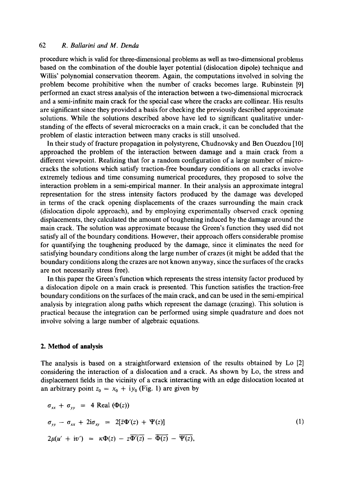# 62 *R. Ballarini and M. Denda*

procedure which is valid for three-dimensional problems as well as two-dimensional problems based on the combination of the double layer potential (dislocation dipole) technique and Willis' polynomial conservation theorem. Again, the computations involved in solving the problem become prohibitive when the number of cracks becomes large. Rubinstein [9] performed an exact stress analysis of the interaction between a two-dimensional microcrack and a semi-infinite main crack for the special case where the cracks are collinear. His results are significant since they provided a basis for checking the previously described approximate solutions. While the solutions described above have led to significant qualitative understanding of the effects of several microcracks on a main crack, it can be concluded that the problem of elastic interaction between many cracks is still unsolved.

In their study of fracture propagation in polystyrene, Chudnovsky and Ben Ouezdou [ 10] approached the problem of the interaction between damage and a main crack from a different viewpoint. Realizing that for a random configuration of a large number of microcracks the solutions which satisfy traction-free boundary conditions on all cracks involve extremely tedious and time consuming numerical procedures, they proposed to solve the interaction problem in a semi-empirical manner. In their analysis an approximate integral representation for the stress intensity factors produced by the damage was developed in terms of the crack opening displacements of the crazes surrounding the main crack (dislocation dipole approach), and by employing experimentally observed crack opening displacements, they calculated the amount of toughening induced by the damage around the main crack. The solution was approximate because the Green's function they used did not satisfy all of the boundary conditions. However, their approach offers considerable promise for quantifying the toughening produced by the damage, since it eliminates the need for satisfying boundary conditions along the large number of crazes (it might be added that the boundary conditions along the crazes are not known anyway, since the surfaces of the cracks are not necessarily stress free).

In this paper the Green's function which represents the stress intensity factor produced by a dislocation dipole on a main crack is presented. This function satisfies the traction-free boundary conditions on the surfaces of the main crack, and can be used in the semi-empirical analysis by integration along paths which represent the damage (crazing). This solution is practical because the integration can be performed using simple quadrature and does not involve solving a large number of algebraic equations.

#### **2. Method of analysis**

The analysis is based on a straightforward extension of the results obtained by Lo [2] considering the interaction of a dislocation and a crack. As shown by Lo, the stress and displacement fields in the vicinity of a crack interacting with an edge dislocation located at an arbitrary point  $z_0 = x_0 + iy_0$  (Fig. 1) are given by

$$
\sigma_{xx} + \sigma_{yy} = 4 \text{ Real } (\Phi(z))
$$
  
\n
$$
\sigma_{yy} - \sigma_{xx} + 2i\sigma_{xy} = 2[\bar{z}\Phi'(z) + \Psi(z)]
$$
  
\n
$$
2\mu(u' + iv') = \kappa\Phi(z) - z\overline{\Phi'(z)} - \overline{\Phi(z)} - \overline{\Psi(z)},
$$
\n(1)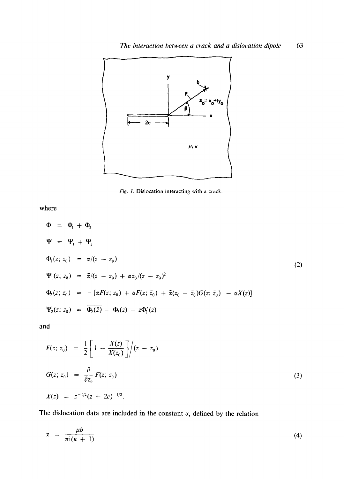

*Fig. 1.* Dislocation interacting with a crack.

where

$$
\Phi = \Phi_1 + \Phi_2
$$
  
\n
$$
\Psi = \Psi_1 + \Psi_2
$$
  
\n
$$
\Phi_1(z; z_0) = \alpha/(z - z_0)
$$
  
\n
$$
\Psi_1(z; z_0) = \bar{\alpha}/(z - z_0) + \alpha \bar{z}_0/(z - z_0)^2
$$
  
\n
$$
\Phi_2(z; z_0) = -[\alpha F(z; z_0) + \alpha F(z; \bar{z}_0) + \bar{\alpha}(z_0 - \bar{z}_0)G(z; \bar{z}_0) - \alpha X(z)]
$$
  
\n
$$
\Psi_2(z; z_0) = \overline{\Phi_2(\bar{z})} - \Phi_2(z) - z\Phi_2'(z)
$$
\n(2)

and

$$
F(z; z_0) = \frac{1}{2} \left[ 1 - \frac{X(z)}{X(z_0)} \right] / (z - z_0)
$$
  
\n
$$
G(z; z_0) = \frac{\partial}{\partial z_0} F(z; z_0)
$$
  
\n
$$
X(z) = z^{-1/2} (z + 2c)^{-1/2}.
$$
\n(3)

The dislocation data are included in the constant  $\alpha$ , defined by the relation

$$
\alpha = \frac{\mu b}{\pi i (\kappa + 1)} \tag{4}
$$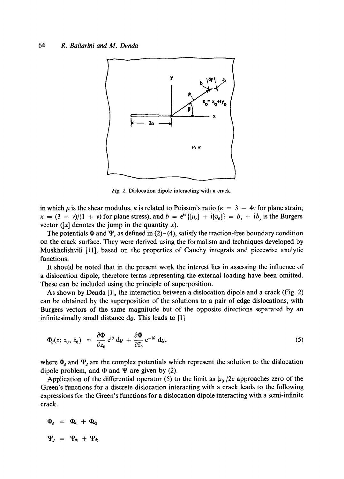

*Fig. 2.* Dislocation dipole interacting with a crack.

in which  $\mu$  is the shear modulus,  $\kappa$  is related to Poisson's ratio ( $\kappa = 3 - 4\nu$  for plane strain;  $\kappa = (3 - v)/(1 + v)$  for plane stress), and  $b = e^{i\theta}$  {[u<sub>r</sub>] + i[v<sub>0</sub>]} =  $b_x + ib_y$  is the Burgers vector ([x] denotes the jump in the quantity x).

The potentials  $\Phi$  and  $\Psi$ , as defined in (2)-(4), satisfy the traction-free boundary condition on the crack surface. They were derived using the formalism and techniques developed by Muskhelishvili [11], based on the properties of Cauchy integrals and piecewise analytic functions.

It should be noted that in the present work the interest lies in assessing the influence of a dislocation dipole, therefore terms representing the external loading have been omitted. These can be included using the principle of superposition.

As shown by Denda [1], the interaction between a dislocation dipole and a crack (Fig. 2) can be obtained by the superposition of the solutions to a pair of edge dislocations, with Burgers vectors of the same magnitude but of the opposite directions separated by an infinitesimally small distance  $d\rho$ . This leads to [1]

$$
\Phi_d(z; z_0, \bar{z}_0) = \frac{\partial \Phi}{\partial z_0} e^{i\theta} d\varrho + \frac{\partial \Phi}{\partial \bar{z}_0} e^{-i\theta} d\varrho, \qquad (5)
$$

where  $\Phi_d$  and  $\Psi_d$  are the complex potentials which represent the solution to the dislocation dipole problem, and  $\Phi$  and  $\Psi$  are given by (2).

Application of the differential operator (5) to the limit as  $|z_0|/2c$  approaches zero of the Green's functions for a discrete dislocation interacting with a crack leads to the following expressions for the Green's functions for a dislocation dipole interacting with a semi-infinite crack.

$$
\Phi_d = \Phi_{d_1} + \Phi_{d_2}
$$
\n
$$
\Psi_d = \Psi_{d_1} + \Psi_{d_2}
$$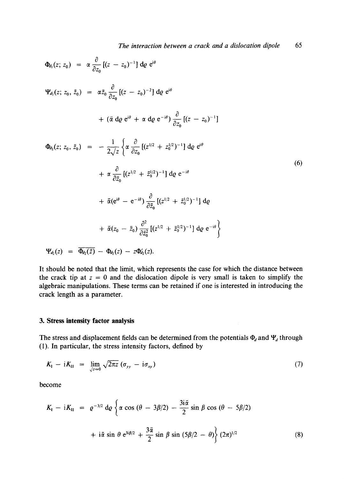$$
\Phi_{d_1}(z; z_0) = \alpha \frac{\partial}{\partial z_0} [(z - z_0)^{-1}] d\varrho e^{i\theta}
$$
\n
$$
\Psi_{d_1}(z; z_0, \bar{z}_0) = \alpha \bar{z}_0 \frac{\partial}{\partial z_0} [(z - z_0)^{-2}] d\varrho e^{i\theta}
$$
\n
$$
+ (\bar{\alpha} d\varrho e^{i\theta} + \alpha d\varrho e^{-i\theta}) \frac{\partial}{\partial z_0} [(z - z_0)^{-1}]
$$
\n
$$
\Phi_{d_2}(z; z_0, \bar{z}_0) = -\frac{1}{2\sqrt{z}} \left\{ \alpha \frac{\partial}{\partial z_0} [(z^{1/2} + z_0^{1/2})^{-1}] d\varrho e^{i\theta} + \alpha \frac{\partial}{\partial \bar{z}_0} [(z^{1/2} + \bar{z}_0^{1/2})^{-1}] d\varrho e^{-i\theta} + \bar{\alpha} (e^{i\theta} - e^{-i\theta}) \frac{\partial}{\partial \bar{z}_0} [(z^{1/2} + \bar{z}_0^{1/2})^{-1}] d\varrho
$$
\n
$$
+ \bar{\alpha} (z_0 - \bar{z}_0) \frac{\partial^2}{\partial \bar{z}_0^2} [(z^{1/2} + \bar{z}_0^{1/2})^{-1}] d\varrho e^{-i\theta} \right\}
$$
\n
$$
\Psi_{d_2}(z) = \overline{\Phi_{d_2}(\bar{z})} - \Phi_{d_2}(z) - z \Phi_{d_2}(z).
$$
\n(6)

It should be noted that the limit, which represents the case for which the distance between the crack tip at  $z = 0$  and the dislocation dipole is very small is taken to simplify the algebraic manipulations. These terms can be retained if one is interested in introducing the crack length as a parameter.

# **3. Stress intensity factor analysis**

The stress and displacement fields can be determined from the potentials  $\Phi_d$  and  $\Psi_d$  through (1). In particular, the stress intensity factors, defined by

$$
K_{\rm I} - iK_{\rm II} = \lim_{y_{z \to 0}} \sqrt{2\pi z} \left( \sigma_{yy} - i\sigma_{xy} \right) \tag{7}
$$

become

$$
K_{\rm I} - iK_{\rm II} = \varrho^{-3/2} \, \mathrm{d}\varrho \left\{ \alpha \, \cos \left( \theta - 3\beta/2 \right) - \frac{3i\bar{\alpha}}{2} \sin \beta \, \cos \left( \theta - 5\beta/2 \right) \right.+ i\bar{\alpha} \, \sin \theta \, e^{3i\beta/2} + \frac{3\bar{\alpha}}{2} \sin \beta \, \sin \left( 5\beta/2 - \theta \right) \right\} (2\pi)^{1/2}
$$
(8)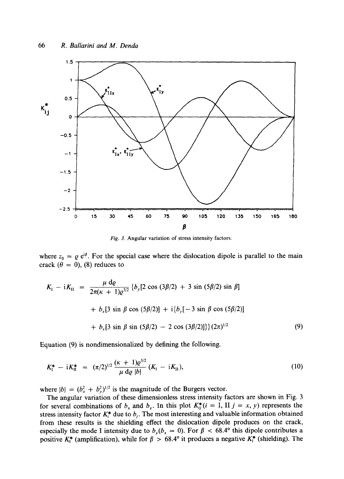

*Fig. 3.* Angular variation of stress intensity factors.

where  $z_0 = \varrho e^{i\beta}$ . For the special case where the dislocation dipole is parallel to the main crack ( $\theta = 0$ ), (8) reduces to

$$
K_{1} - iK_{11} = \frac{\mu \, d\varrho}{2\pi(\kappa + 1)\varrho^{3/2}} \left\{ b_{y}[2\cos(3\beta/2) + 3\sin(5\beta/2)\sin\beta] + b_{x}[3\sin\beta\cos(5\beta/2)] + i\left\{ b_{y}[-3\sin\beta\cos(5\beta/2)]\right\} + b_{x}[3\sin\beta\sin(5\beta/2) - 2\cos(3\beta/2)] \right\} (2\pi)^{1/2}
$$
(9)

Equation (9) is nondimensionalized by defining the following.

$$
K_{\rm I}^* - {\rm i}K_{\rm II}^* \; = \; (\pi/2)^{1/2} \, \frac{(\kappa \; + \; 1)\varrho^{3/2}}{\mu \; {\rm d}\varrho \; |b|} \, (K_{\rm I} \; - \; {\rm i}K_{\rm II}), \tag{10}
$$

where  $|b| = (b_x^2 + b_y^2)^{1/2}$  is the magnitude of the Burgers vector.

The angular variation of these dimensionless stress intensity factors are shown in Fig. 3 for several combinations of  $b_x$  and  $b_y$ . In this plot  $K_{ij}^*(i = 1, II] = x, y$  represents the stress intensity factor  $K_i^*$  due to  $b_i$ . The most interesting and valuable information obtained from these results is the shielding effect the dislocation dipole produces on the crack, especially the mode I intensity due to  $b_y(b_x = 0)$ . For  $\beta < 68.4^{\circ}$  this dipole contributes a positive K\* (amplification), while for  $\beta > 68.4^{\circ}$  it produces a negative K\* (shielding). The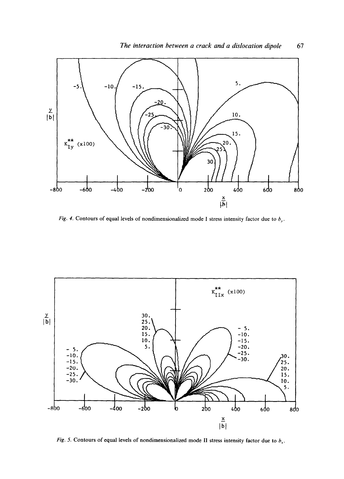

*Fig. 4.* Contours of equal levels of nondimensionalized mode I stress intensity factor due to  $b_y$ .



*Fig. 5.* Contours of equal levels of nondimensionalized mode II stress intensity factor due to  $b_x$ .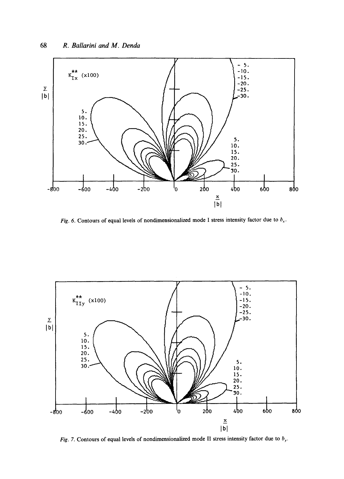

*Fig. 6.* Contours of equal levels of nondimensionalized mode I stress intensity factor due to  $b_x$ .



*Fig. 7.* Contours of equal levels of nondimensionalized mode II stress intensity factor due to  $b_y$ .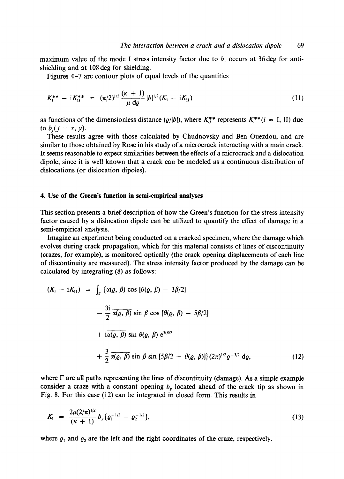maximum value of the mode I stress intensity factor due to  $b<sub>y</sub>$  occurs at 36 deg for antishielding and at 108 deg for shielding.

Figures 4-7 are contour plots of equal levels of the quantities

$$
K_{\rm I}^{**} - iK_{\rm II}^{**} = (\pi/2)^{1/2} \frac{(\kappa+1)}{\mu \, {\rm d} \varrho} |b|^{1/2} (K_{\rm I} - iK_{\rm II}) \tag{11}
$$

as functions of the dimensionless distance  $(\varrho/|\varrho|)$ , where  $K_i^{**}$  represents  $K_i^{**}(i = 1, 1)$  due to  $b_i$  ( $j = x, y$ ).

These results agree with those calculated by Chudnovsky and Ben Ouezdou, and are similar to those obtained by Rose in his study of a microcrack interacting with a main crack. It seems reasonable to expect similarities between the effects of a microcrack and a dislocation dipole, since it is well known that a crack can be modeled as a continuous distribution of dislocations (or dislocation dipoles).

# **4. Use of the Green's function in semi-empirical analyses**

This section presents a brief description of how the Green's function for the stress intensity factor caused by a dislocation dipole can be utilized to quantify the effect of damage in a semi-empirical analysis.

Imagine an experiment being conducted on a cracked specimen, where the damage which evolves during crack propagation, which for this material consists of lines of discontinuity (crazes, for example), is monitored optically (the crack opening displacements of each line of discontinuity are measured). The stress intensity factor produced by the damage can be calculated by integrating (8) as follows:

$$
(K_{\rm I} - iK_{\rm II}) = \int_{\Gamma} \{ \alpha(\varrho, \beta) \cos [\theta(\varrho, \beta) - 3\beta/2] - \frac{3i}{2} \overline{\alpha(\varrho, \beta)} \sin \beta \cos [\theta(\varrho, \beta) - 5\beta/2] + i \overline{\alpha(\varrho, \beta)} \sin \theta(\varrho, \beta) e^{3i\beta/2} + \frac{3}{2} \overline{\alpha(\varrho, \beta)} \sin \beta \sin [5\beta/2 - \theta(\varrho, \beta)] \} (2\pi)^{1/2} \varrho^{-3/2} d\varrho,
$$
 (12)

where  $\Gamma$  are all paths representing the lines of discontinuity (damage). As a simple example consider a craze with a constant opening  $b<sub>y</sub>$  located ahead of the crack tip as shown in Fig. 8. For this case (12) can be integrated in closed form. This results in

$$
K_1 = \frac{2\mu(2/\pi)^{1/2}}{(\kappa + 1)} b_y \{ \varrho_1^{-1/2} - \varrho_2^{-1/2} \}, \qquad (13)
$$

where  $\varrho_1$  and  $\varrho_2$  are the left and the right coordinates of the craze, respectively.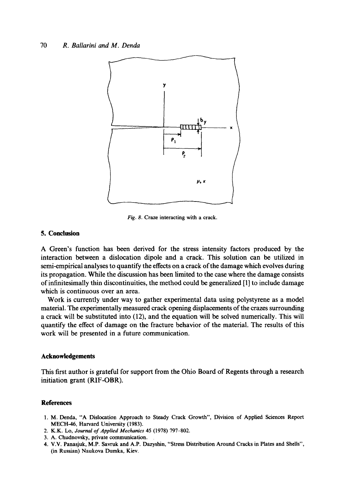

*Fig. 8.* Craze interacting with a crack.

# **5. Conclusion**

A Green's function has been derived for the stress intensity factors produced by the interaction between a dislocation dipole and a crack. This solution can be utilized in semi-empirical analyses to quantify the effects on a crack of the damage which evolves during its propagation. While the discussion has been limited to the case where the damage consists of infinitesimally thin discontinuities, the method could be generalized [1] to include damage which is continuous over an area.

Work is currently under way to gather experimental data using polystyrene as a model material. The experimentally measured crack opening displacements of the crazes surrounding a crack will be substituted into (12), and the equation will be solved numerically. This will quantify the effect of damage on the fracture behavior of the material. The results of this work will be presented in a future communication.

### **Acknowledgements**

This first author is grateful for support from the Ohio Board of Regents through a research initiation grant (RIF-OBR).

# **References**

- 1. M. Denda, "A Dislocation Approach to Steady Crack Growth", Division of Applied Sciences Report MECH-46, Harvard University (1983).
- 2. K.K. Lo, *Journal of Applied Mechanics* 45 (1978) 797-802.
- 3. A. Chudnovsky, private communication.
- 4. V.V. Panasjuk, M.P. Savruk and A.P. Dazyshin, "Stress Distribution Around Cracks in Plates and Shells", (in Russian) Naukova Dumka, Kiev.